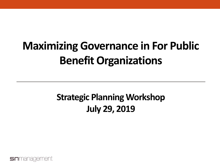## **Maximizing Governance in For Public Benefit Organizations**

#### **Strategic Planning Workshop July 29, 2019**

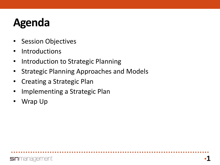### **Agenda**

- Session Objectives
- Introductions
- Introduction to Strategic Planning
- Strategic Planning Approaches and Models
- Creating a Strategic Plan
- Implementing a Strategic Plan
- Wrap Up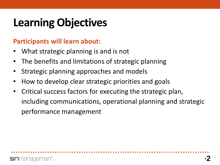## **Learning Objectives**

#### **Participants will learn about:**

- What strategic planning is and is not
- The benefits and limitations of strategic planning
- Strategic planning approaches and models
- How to develop clear strategic priorities and goals
- Critical success factors for executing the strategic plan, including communications, operational planning and strategic performance management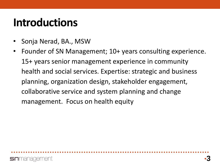#### **Introductions**

- Sonja Nerad, BA., MSW
- Founder of SN Management; 10+ years consulting experience. 15+ years senior management experience in community health and social services. Expertise: strategic and business planning, organization design, stakeholder engagement, collaborative service and system planning and change management. Focus on health equity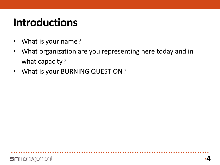#### **Introductions**

- What is your name?
- What organization are you representing here today and in what capacity?
- What is your BURNING QUESTION?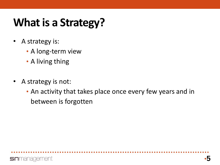### **What is a Strategy?**

- A strategy is:
	- A long-term view
	- A living thing
- A strategy is not:
	- An activity that takes place once every few years and in between is forgotten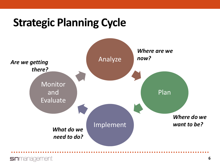#### **Strategic Planning Cycle**



#### **sn**management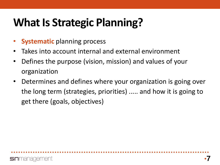### **What Is Strategic Planning?**

- **Systematic** planning process
- Takes into account internal and external environment
- Defines the purpose (vision, mission) and values of your organization
- Determines and defines where your organization is going over the long term (strategies, priorities) ..... and how it is going to get there (goals, objectives)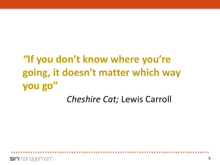#### *"***If you don't know where you're going, it doesn't matter which way you go"** *Cheshire Cat;* Lewis Carroll

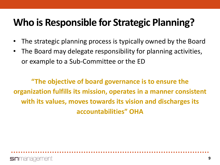#### **Who is Responsible for Strategic Planning?**

- The strategic planning process is typically owned by the Board
- The Board may delegate responsibility for planning activities, or example to a Sub-Committee or the ED

**"The objective of board governance is to ensure the organization fulfills its mission, operates in a manner consistent with its values, moves towards its vision and discharges its accountabilities" OHA**

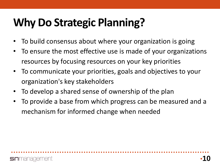### **Why Do Strategic Planning?**

- To build consensus about where your organization is going
- To ensure the most effective use is made of your organizations resources by focusing resources on your key priorities
- To communicate your priorities, goals and objectives to your organization's key stakeholders
- To develop a shared sense of ownership of the plan
- To provide a base from which progress can be measured and a mechanism for informed change when needed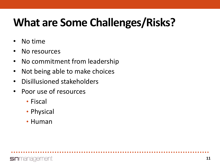## **What are Some Challenges/Risks?**

- No time
- No resources
- No commitment from leadership
- Not being able to make choices
- Disillusioned stakeholders
- Poor use of resources
	- Fiscal
	- Physical
	- Human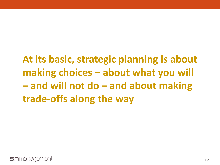**At its basic, strategic planning is about making choices – about what you will – and will not do – and about making trade-offs along the way**

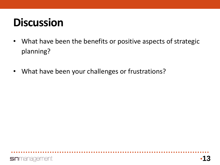### **Discussion**

- What have been the benefits or positive aspects of strategic planning?
- What have been your challenges or frustrations?

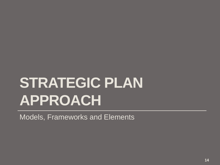# **STRATEGIC PLAN APPROACH**

Models, Frameworks and Elements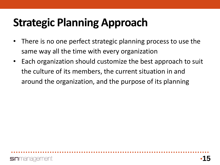## **Strategic Planning Approach**

- There is no one perfect strategic planning process to use the same way all the time with every organization
- Each organization should customize the best approach to suit the culture of its members, the current situation in and around the organization, and the purpose of its planning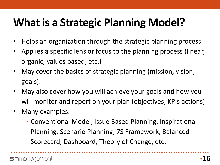## **What is a Strategic Planning Model?**

- Helps an organization through the strategic planning process
- Applies a specific lens or focus to the planning process (linear, organic, values based, etc.)
- May cover the basics of strategic planning (mission, vision, goals).
- May also cover how you will achieve your goals and how you will monitor and report on your plan (objectives, KPIs actions)
- Many examples:
	- Conventional Model, Issue Based Planning, Inspirational Planning, Scenario Planning, 7S Framework, Balanced Scorecard, Dashboard, Theory of Change, etc.

**n**management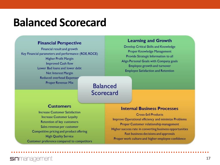#### **Balanced Scorecard**

#### **Financial Perspective**

Financial result and growth Key Financial parameters and performance (ROE, ROCE) **Higher Profit Margin Improved Cash flow** Lower Bad loans and lower debt Net Interest Margin **Reduced overhead Expenses Proper Revenue Mix** 

#### **Balanced** Scorecard

#### **Customers**

**Increase Customer Satisfaction Increase Customer Loyalty Retention of key customers** Sales revenue per customer Competitive pricing and product offering **High Quality Service** Customer preference compared to competitors

#### **Learning and Growth**

Develop Critical Skills and Knowledge **Proper Knowledge Management** Provide Strategic Information to all Align Personal Goals with Company goals **Employee growth and turnover Employee Satisfaction and Retention** 

#### **Internal Business Processes**

**Cross-Sell Products** Improve Operational efficiency and minimize Problems Proper Customer relationship management Higher success rate in converting business opportunities Fast business decisions and approvals Proper work culture and higher employee confidence

**sn**management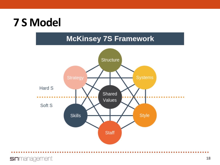#### **7 S Model**

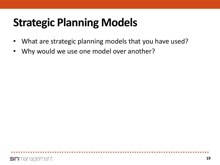### **Strategic Planning Models**

- What are strategic planning models that you have used?
- Why would we use one model over another?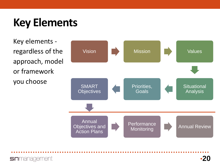### **Key Elements**

Key elements regardless of the approach, model or framework you choose

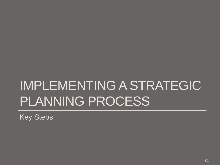# IMPLEMENTING A STRATEGIC PLANNING PROCESS

Key Steps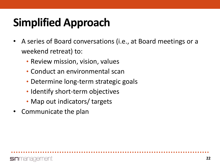## **Simplified Approach**

- A series of Board conversations (i.e., at Board meetings or a weekend retreat) to:
	- Review mission, vision, values
	- Conduct an environmental scan
	- Determine long-term strategic goals
	- Identify short-term objectives
	- Map out indicators/ targets
- Communicate the plan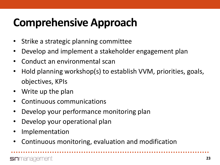### **Comprehensive Approach**

- Strike a strategic planning committee
- Develop and implement a stakeholder engagement plan
- Conduct an environmental scan
- Hold planning workshop(s) to establish VVM, priorities, goals, objectives, KPIs
- Write up the plan
- Continuous communications
- Develop your performance monitoring plan
- Develop your operational plan
- **Implementation**
- Continuous monitoring, evaluation and modification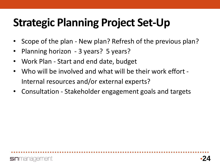### **Strategic Planning Project Set-Up**

- Scope of the plan New plan? Refresh of the previous plan?
- Planning horizon 3 years? 5 years?
- Work Plan Start and end date, budget
- Who will be involved and what will be their work effort Internal resources and/or external experts?
- Consultation Stakeholder engagement goals and targets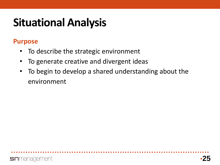#### **Purpose**

- To describe the strategic environment
- To generate creative and divergent ideas
- To begin to develop a shared understanding about the environment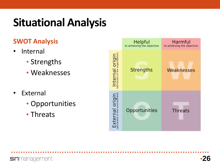#### **SWOT Analysis**

- Internal
	- Strengths
	- Weaknesses
- External
	- Opportunities
	- Threats

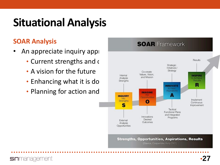#### **SOAR Analysis**

**sn**management

- An appreciate inquiry approach for
	- Current strengths and  $\epsilon$
	- A vision for the future
	- Enhancing what it is do strengths
	- Planning for action and

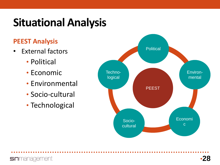#### **PEEST Analysis**

**sn**management

- External factors
	- Political
	- Economic
	- Environmental
	- Socio-cultural
	- Technological

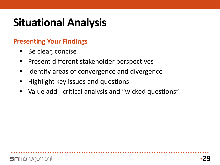#### **Presenting Your Findings**

- Be clear, concise
- Present different stakeholder perspectives
- Identify areas of convergence and divergence
- Highlight key issues and questions
- Value add critical analysis and "wicked questions"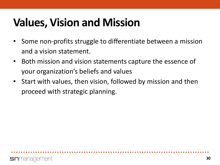- Some non-profits struggle to differentiate between a mission and a vision statement.
- Both mission and vision statements capture the essence of your organization's beliefs and values
- Start with values, then vision, followed by mission and then proceed with strategic planning.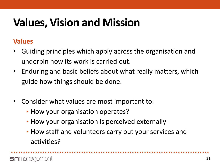#### **Values**

- Guiding principles which apply across the organisation and underpin how its work is carried out.
- Enduring and basic beliefs about what really matters, which guide how things should be done.
- Consider what values are most important to:
	- How your organisation operates?
	- How your organisation is perceived externally
	- How staff and volunteers carry out your services and activities?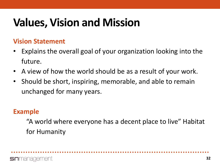#### **Vision Statement**

- Explains the overall goal of your organization looking into the future.
- A view of how the world should be as a result of your work.
- Should be short, inspiring, memorable, and able to remain unchanged for many years.

#### **Example**

"A world where everyone has a decent place to live" Habitat for Humanity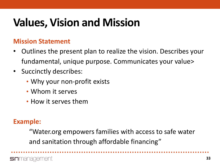#### **Mission Statement**

- Outlines the present plan to realize the vision. Describes your fundamental, unique purpose. Communicates your value>
- Succinctly describes:
	- Why your non-profit exists
	- Whom it serves
	- How it serves them

#### **Example:**

"Water.org empowers families with access to safe water and sanitation through affordable financing"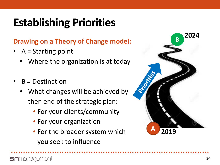## **Establishing Priorities**

#### **Drawing on a Theory of Change model:**

- A = Starting point
	- Where the organization is at today
- $B =$  Destination
	- What changes will be achieved by then end of the strategic plan:
		- For your clients/community
		- For your organization
		- For the broader system which you seek to influence

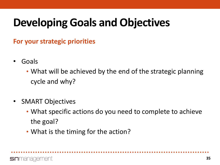### **Developing Goals and Objectives**

**For your strategic priorities** 

- Goals
	- What will be achieved by the end of the strategic planning cycle and why?
- SMART Objectives
	- What specific actions do you need to complete to achieve the goal?
	- What is the timing for the action?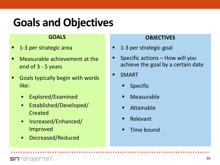#### **Goals and Objectives**

#### **GOALS**

- **1-3 per strategic area**
- Measurable achievement at the end of 3 - 5 years
- **Goals typically begin with words** like:
	- **Explored/Examined**
	- **Established/Developed/** Created
	- Increased/Enhanced/ Improved
	- Decreased/Reduced

#### **OBJECTIVES**

- 1-3 per strategic goal
- Specific actions How will you achieve the goal by a certain date
- SMART
	- Specific
	- Measurable
	- Attainable
	- Relevant
	- Time bound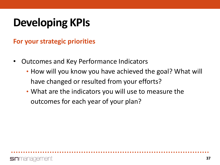### **Developing KPIs**

**For your strategic priorities** 

- Outcomes and Key Performance Indicators
	- How will you know you have achieved the goal? What will have changed or resulted from your efforts?
	- What are the indicators you will use to measure the outcomes for each year of your plan?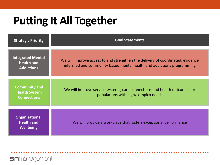#### **Putting It All Together**

**sn**management

| <b>Strategic Priority</b>                                          | <b>Goal Statements</b>                                                                                                                                  |
|--------------------------------------------------------------------|---------------------------------------------------------------------------------------------------------------------------------------------------------|
| <b>Integrated Mental</b><br><b>Health and</b><br><b>Addictions</b> | We will improve access to and strengthen the delivery of coordinated, evidence<br>informed and community based mental health and addictions programming |
| <b>Community and</b><br><b>Health System</b><br><b>Connections</b> | We will improve service systems, care connections and health outcomes for<br>populations with high/complex needs                                        |
| <b>Organizational</b><br><b>Health and</b><br><b>Wellbeing</b>     | We will provide a workplace that fosters exceptional performance                                                                                        |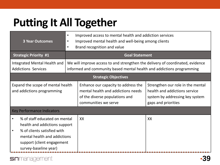### **Putting It All Together**

| <b>3 Year Outcomes</b>                                                                                                                                                                            | Improved access to mental health and addiction services<br>$\bullet$<br>Improved mental health and well-being among clients<br>$\bullet$<br>Brand recognition and value<br>$\bullet$ |                                                                                                                                     |                                                                                                                              |  |  |
|---------------------------------------------------------------------------------------------------------------------------------------------------------------------------------------------------|--------------------------------------------------------------------------------------------------------------------------------------------------------------------------------------|-------------------------------------------------------------------------------------------------------------------------------------|------------------------------------------------------------------------------------------------------------------------------|--|--|
| <b>Strategic Priority #1</b>                                                                                                                                                                      | <b>Goal Statement</b>                                                                                                                                                                |                                                                                                                                     |                                                                                                                              |  |  |
| Integrated Mental Health and<br><b>Addictions Services</b>                                                                                                                                        | We will improve access to and strengthen the delivery of coordinated, evidence<br>informed and community based mental health and addictions programming                              |                                                                                                                                     |                                                                                                                              |  |  |
| <b>Strategic Objectives</b>                                                                                                                                                                       |                                                                                                                                                                                      |                                                                                                                                     |                                                                                                                              |  |  |
| Expand the scope of mental health<br>and addictions programming                                                                                                                                   |                                                                                                                                                                                      | Enhance our capacity to address the<br>mental health and addictions needs<br>of the diverse populations and<br>communities we serve | Strengthen our role in the mental<br>health and addictions service<br>system by addressing key system<br>gaps and priorities |  |  |
| <b>Key Performance Indicators</b>                                                                                                                                                                 |                                                                                                                                                                                      |                                                                                                                                     |                                                                                                                              |  |  |
| % of staff educated on mental<br>health and addictions support<br>% of clients satisfied with<br>$\bullet$<br>mental health and addictions<br>support (client engagement<br>survey-baseline year) |                                                                                                                                                                                      | XX                                                                                                                                  | XX                                                                                                                           |  |  |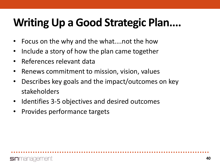### **Writing Up a Good Strategic Plan....**

- Focus on the why and the what....not the how
- Include a story of how the plan came together
- References relevant data
- Renews commitment to mission, vision, values
- Describes key goals and the impact/outcomes on key stakeholders
- Identifies 3-5 objectives and desired outcomes
- Provides performance targets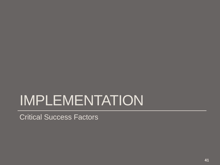# IMPLEMENTATION

Critical Success Factors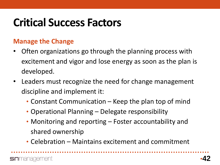### **Critical Success Factors**

#### **Manage the Change**

- Often organizations go through the planning process with excitement and vigor and lose energy as soon as the plan is developed.
- Leaders must recognize the need for change management discipline and implement it:
	- Constant Communication Keep the plan top of mind
	- Operational Planning Delegate responsibility
	- Monitoring and reporting Foster accountability and shared ownership
	- Celebration Maintains excitement and commitment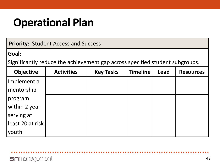#### **Operational Plan**

**Priority:** Student Access and Success

#### **Goal:**

Significantly reduce the achievement gap across specified student subgroups.

| <b>Objective</b> | <b>Activities</b> | <b>Key Tasks</b> | <b>Timeline</b> | <b>Lead</b> | <b>Resources</b> |
|------------------|-------------------|------------------|-----------------|-------------|------------------|
| Implement a      |                   |                  |                 |             |                  |
| mentorship       |                   |                  |                 |             |                  |
| program          |                   |                  |                 |             |                  |
| within 2 year    |                   |                  |                 |             |                  |
| serving at       |                   |                  |                 |             |                  |
| least 20 at risk |                   |                  |                 |             |                  |
| 'youth           |                   |                  |                 |             |                  |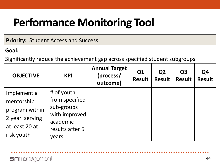### **Performance Monitoring Tool**

#### **Priority:** Student Access and Success

#### **Goal:**

Significantly reduce the achievement gap across specified student subgroups.

| <b>OBJECTIVE</b>                                                                              | <b>KPI</b>                                                                                          | <b>Annual Target</b><br>(process/<br>outcome) | Q1<br><b>Result</b> | Q <sub>2</sub><br><b>Result</b> | Q <sub>3</sub><br><b>Result</b> | Q4<br><b>Result</b> |
|-----------------------------------------------------------------------------------------------|-----------------------------------------------------------------------------------------------------|-----------------------------------------------|---------------------|---------------------------------|---------------------------------|---------------------|
| Implement a<br>mentorship<br>program within<br>2 year serving<br>at least 20 at<br>risk youth | # of youth<br>from specified<br>sub-groups<br>with improved<br>academic<br>results after 5<br>years |                                               |                     |                                 |                                 |                     |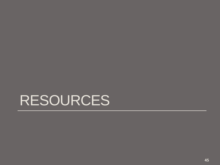# RESOURCES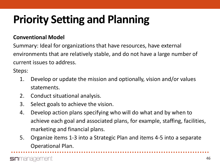#### **Conventional Model**

Summary: Ideal for organizations that have resources, have external environments that are relatively stable, and do not have a large number of current issues to address.

Steps:

- 1. Develop or update the mission and optionally, vision and/or values statements.
- 2. Conduct situational analysis.
- 3. Select goals to achieve the vision.
- 4. Develop action plans specifying who will do what and by when to achieve each goal and associated plans, for example, staffing, facilities, marketing and financial plans.
- 5. Organize items 1-3 into a Strategic Plan and items 4-5 into a separate Operational Plan.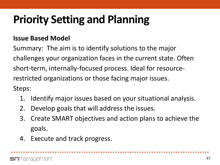#### **Issue Based Model**

Summary: The aim is to identify solutions to the major challenges your organization faces in the current state. Often short-term, internally-focused process. Ideal for resourcerestricted organizations or those facing major issues. Steps:

- 1. Identify major issues based on your situational analysis.
- 2. Develop goals that will address the issues.
- 3. Create SMART objectives and action plans to achieve the goals.
- 4. Execute and track progress.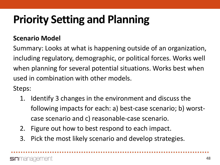#### **Scenario Model**

Summary: Looks at what is happening outside of an organization, including regulatory, demographic, or political forces. Works well when planning for several potential situations. Works best when used in combination with other models.

Steps:

- 1. Identify 3 changes in the environment and discuss the following impacts for each: a) best-case scenario; b) worstcase scenario and c) reasonable-case scenario.
- 2. Figure out how to best respond to each impact.
- 3. Pick the most likely scenario and develop strategies.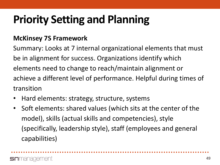#### **McKinsey 7S Framework**

Summary: Looks at 7 internal organizational elements that must be in alignment for success. Organizations identify which elements need to change to reach/maintain alignment or achieve a different level of performance. Helpful during times of transition

- Hard elements: strategy, structure, systems
- Soft elements: shared values (which sits at the center of the model), skills (actual skills and competencies), style (specifically, leadership style), staff (employees and general capabilities)